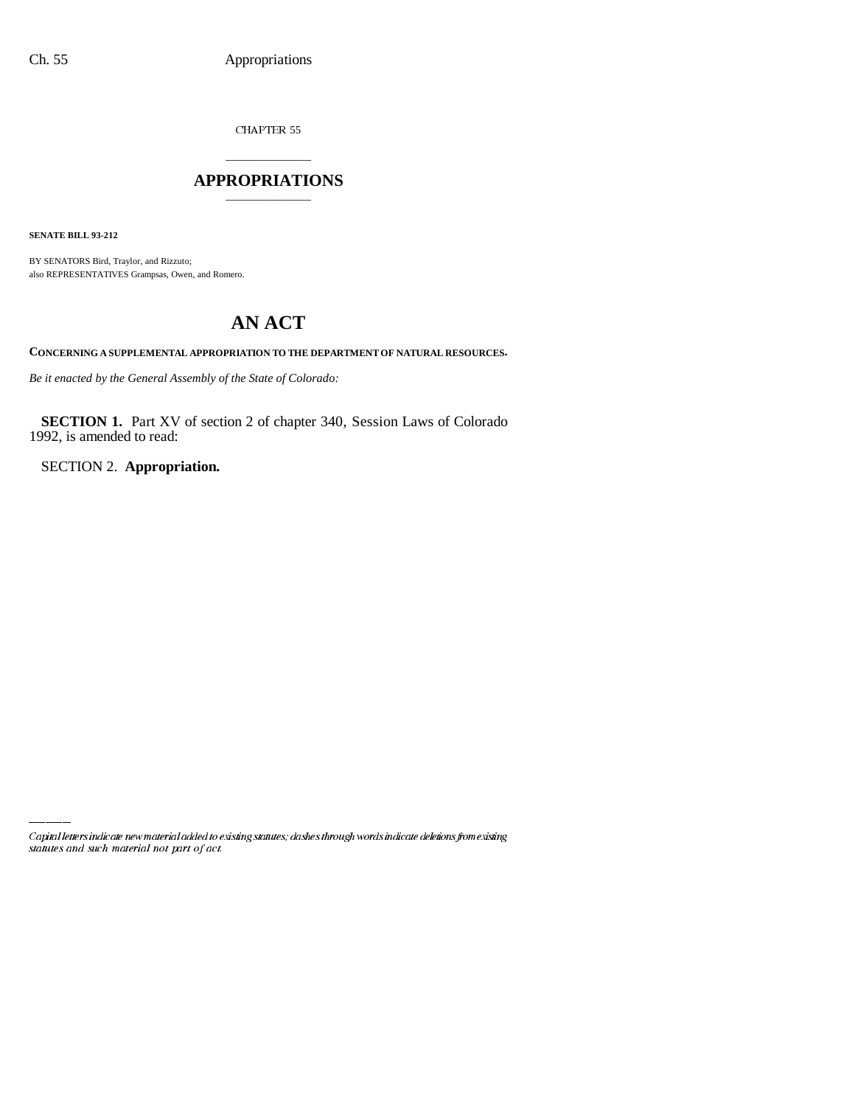CHAPTER 55

## \_\_\_\_\_\_\_\_\_\_\_\_\_\_\_ **APPROPRIATIONS** \_\_\_\_\_\_\_\_\_\_\_\_\_\_\_

**SENATE BILL 93-212**

BY SENATORS Bird, Traylor, and Rizzuto; also REPRESENTATIVES Grampsas, Owen, and Romero.

# **AN ACT**

**CONCERNING A SUPPLEMENTAL APPROPRIATION TO THE DEPARTMENT OF NATURAL RESOURCES.**

*Be it enacted by the General Assembly of the State of Colorado:*

**SECTION 1.** Part XV of section 2 of chapter 340, Session Laws of Colorado 1992, is amended to read:

SECTION 2. **Appropriation.**

Capital letters indicate new material added to existing statutes; dashes through words indicate deletions from existing statutes and such material not part of act.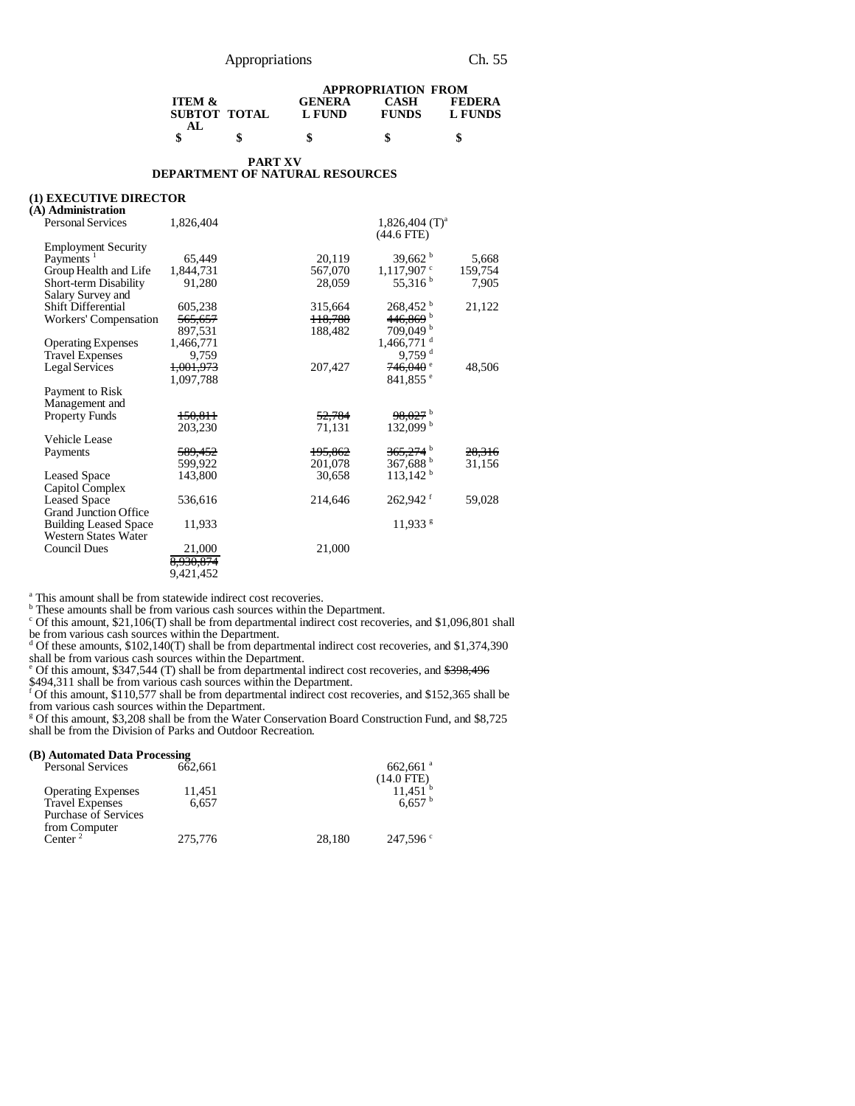|                                 |              | <b>APPROPRIATION FROM</b> |                      |                          |  |
|---------------------------------|--------------|---------------------------|----------------------|--------------------------|--|
| <b>ITEM <math>\&amp;</math></b> | SUBTOT TOTAL | <b>GENERA</b><br>L FUND   | CASH<br><b>FUNDS</b> | <b>FEDERA</b><br>L FUNDS |  |
| AL.                             |              | S                         |                      |                          |  |

#### **PART XV DEPARTMENT OF NATURAL RESOURCES**

#### **(1) EXECUTIVE DIRECTOR**

| (A) Administration                         |                      |         |                                   |         |
|--------------------------------------------|----------------------|---------|-----------------------------------|---------|
| <b>Personal Services</b>                   | 1,826,404            |         | 1,826,404 $(T)^a$<br>$(44.6$ FTE) |         |
| <b>Employment Security</b>                 |                      |         |                                   |         |
| Payments <sup>1</sup>                      | 65.449               | 20,119  | 39,662 $^{\rm b}$                 | 5,668   |
| Group Health and Life                      | 1,844,731            | 567,070 | $1,117,907$ <sup>c</sup>          | 159,754 |
| Short-term Disability<br>Salary Survey and | 91,280               | 28,059  | 55,316 <sup>b</sup>               | 7,905   |
| <b>Shift Differential</b>                  | 605,238              | 315,664 | 268,452 b                         | 21,122  |
| Workers' Compensation                      | <del>565,657</del>   | 118,788 | 446,869 b                         |         |
|                                            | 897,531              | 188,482 | 709,049 b                         |         |
| <b>Operating Expenses</b>                  | 1,466,771            |         | 1,466,771 <sup>d</sup>            |         |
| <b>Travel Expenses</b>                     | 9,759                |         | $9,759$ <sup>d</sup>              |         |
| Legal Services                             | <del>1,001,973</del> | 207,427 | $746,040$ $^{\circ}$              | 48,506  |
|                                            | 1,097,788            |         | $841,855$ $^{\circ}$              |         |
| Payment to Risk                            |                      |         |                                   |         |
| Management and                             |                      |         |                                   |         |
| <b>Property Funds</b>                      | 150,811              | 52,784  | 98,027 b                          |         |
|                                            | 203,230              | 71,131  | $132,099^{\mathrm{b}}$            |         |
| Vehicle Lease                              |                      |         |                                   |         |
| Payments                                   | 589,452              | 195,862 | $365,274$ <sup>b</sup>            | 28,316  |
|                                            | 599,922              | 201,078 | 367,688 $^{\rm b}$                | 31,156  |
| <b>Leased Space</b>                        | 143,800              | 30,658  | $113,142^{\text{b}}$              |         |
| Capitol Complex                            |                      |         |                                   |         |
| <b>Leased Space</b>                        | 536,616              | 214,646 | $262,942$ <sup>f</sup>            | 59,028  |
| <b>Grand Junction Office</b>               |                      |         |                                   |         |
| <b>Building Leased Space</b>               | 11,933               |         | $11,933$ <sup>g</sup>             |         |
| Western States Water                       |                      |         |                                   |         |
| <b>Council Dues</b>                        | 21,000               | 21,000  |                                   |         |
|                                            | 8,930,874            |         |                                   |         |
|                                            | 9.421.452            |         |                                   |         |
|                                            |                      |         |                                   |         |

<sup>a</sup> This amount shall be from statewide indirect cost recoveries.<br><sup>b</sup> These amounts shall be from various cash sources within the Department.

 $c$  Of this amount, \$21,106(T) shall be from departmental indirect cost recoveries, and \$1,096,801 shall

be from various cash sources within the Department.<br>d Of these amounts, \$102,140(T) shall be from departmental indirect cost recoveries, and \$1,374,390

shall be from various cash sources within the Department.<br>
<sup>e</sup> Of this amount, \$347,544 (T) shall be from departmental indirect cost recoveries, and <del>\$398,496</del>

\$494,311 shall be from various cash sources within the Department.<br><sup>f</sup> Of this amount, \$110,577 shall be from departmental indirect cost recoveries, and \$152,365 shall be from various cash sources within the Department.

<sup>g</sup> Of this amount, \$3,208 shall be from the Water Conservation Board Construction Fund, and \$8,725 shall be from the Division of Parks and Outdoor Recreation.

#### **(B) Automated Data Processing**

| 662.661 |        | $662,661$ <sup>a</sup> |
|---------|--------|------------------------|
|         |        | $(14.0$ FTE)           |
| 11.451  |        | 11.451 <sup>b</sup>    |
| 6.657   |        | 6.657 <sup>b</sup>     |
|         |        |                        |
|         |        |                        |
| 275,776 | 28,180 | $247,596$ c            |
|         |        |                        |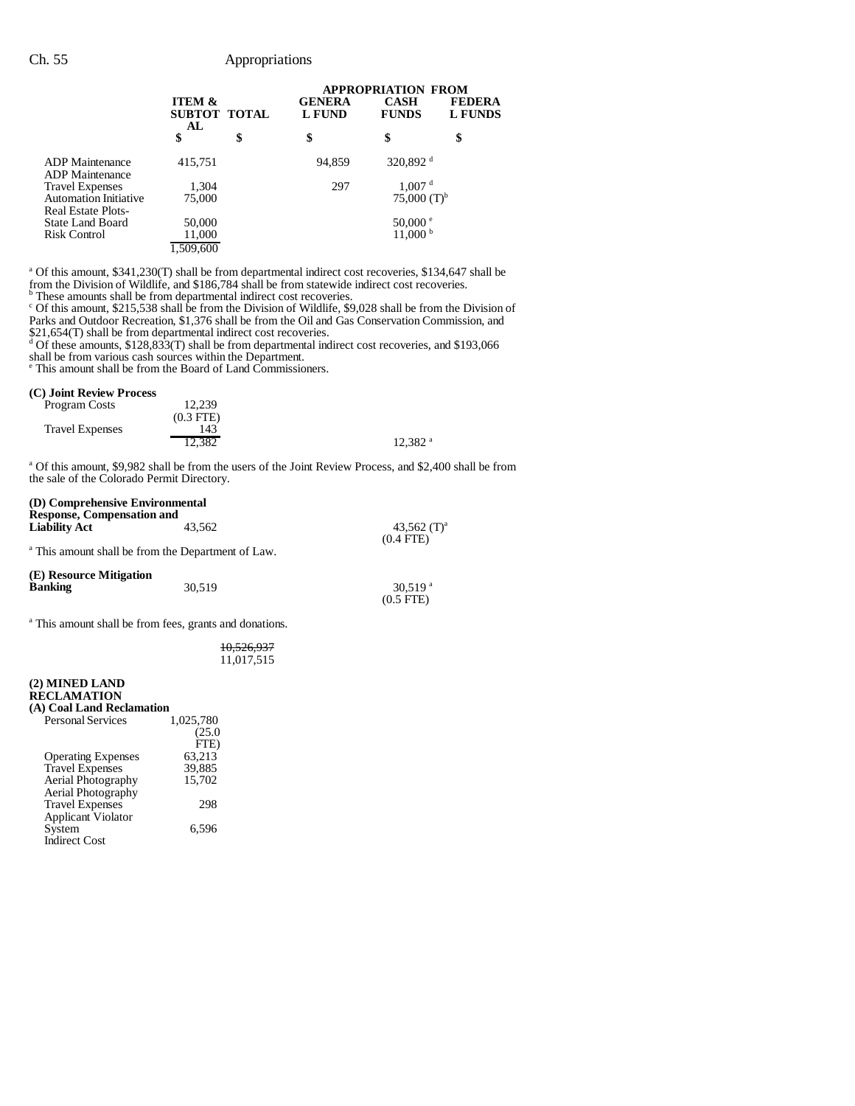## Ch. 55 Appropriations

|                                                                       |                                         | <b>APPROPRIATION FROM</b>      |                                             |                                 |
|-----------------------------------------------------------------------|-----------------------------------------|--------------------------------|---------------------------------------------|---------------------------------|
|                                                                       | <b>ITEM &amp;</b><br>SUBTOT TOTAL<br>AL | <b>GENERA</b><br><b>L FUND</b> | <b>CASH</b><br><b>FUNDS</b>                 | <b>FEDERA</b><br><b>L FUNDS</b> |
|                                                                       | \$                                      | \$<br>\$                       | \$                                          | \$                              |
| ADP Maintenance<br>ADP Maintenance                                    | 415,751                                 | 94,859                         | 320,892 <sup>d</sup>                        |                                 |
| <b>Travel Expenses</b><br>Automation Initiative<br>Real Estate Plots- | 1,304<br>75,000                         | 297                            | 1,007 <sup>d</sup><br>75,000 $(T)^{b}$      |                                 |
| State Land Board<br>Risk Control                                      | 50,000<br>11,000<br>1,509,600           |                                | $50,000$ $\degree$<br>$11,000^{\mathrm{b}}$ |                                 |

<sup>a</sup> Of this amount, \$341,230(T) shall be from departmental indirect cost recoveries, \$134,647 shall be from the Division of Wildlife, and \$186,784 shall be from statewide indirect cost recoveries.<br>
<sup>b</sup> These amounts shall be from departmental indirect cost recoveries.<br>
<sup>c</sup> Of this amount, \$215,538 shall be from the Divisio

Parks and Outdoor Recreation, \$1,376 shall be from the Oil and Gas Conservation Commission, and

\$21,654(T) shall be from departmental indirect cost recoveries.<br><sup>d</sup> Of these amounts, \$128,833(T) shall be from departmental indirect cost recoveries, and \$193,066 shall be from various cash sources within the Department. e This amount shall be from the Board of Land Commissioners.

#### **(C) Joint Review Process**

| Program Costs          | 12.239         |                       |
|------------------------|----------------|-----------------------|
|                        | $(0.3$ FTE $)$ |                       |
| <b>Travel Expenses</b> | 143            |                       |
|                        | 12.382         | $12.382$ <sup>a</sup> |

<sup>a</sup> Of this amount, \$9,982 shall be from the users of the Joint Review Process, and \$2,400 shall be from the sale of the Colorado Permit Directory.

(0.5 FTE)

## **(D) Comprehensive Environmental Response, Compensation and Liability Act** 43,562 43,562 (T)<sup>a</sup> 43,562 43,562 (T)<sup>a</sup> 43,562 43,562  $(0.4 \text{ FTE})$

<sup>a</sup> This amount shall be from the Department of Law. (0.4 FTE)

| (E) Resource Mitigation |        |                       |
|-------------------------|--------|-----------------------|
| <b>Banking</b>          | 30.519 | $30.519$ <sup>a</sup> |
|                         |        | $(0.5$ FTE)           |

<sup>a</sup> This amount shall be from fees, grants and donations.

10,526,937 11,017,515

#### **(2) MINED LAND RECLAMATION**

| (A) Coal Land Reclamation |           |
|---------------------------|-----------|
| <b>Personal Services</b>  | 1,025,780 |
|                           | (25.0)    |
|                           | FTE)      |
| <b>Operating Expenses</b> | 63,213    |
| <b>Travel Expenses</b>    | 39,885    |
| <b>Aerial Photography</b> | 15,702    |
| <b>Aerial Photography</b> |           |
| <b>Travel Expenses</b>    | 298       |
| Applicant Violator        |           |
| System                    | 6.596     |
| <b>Indirect Cost</b>      |           |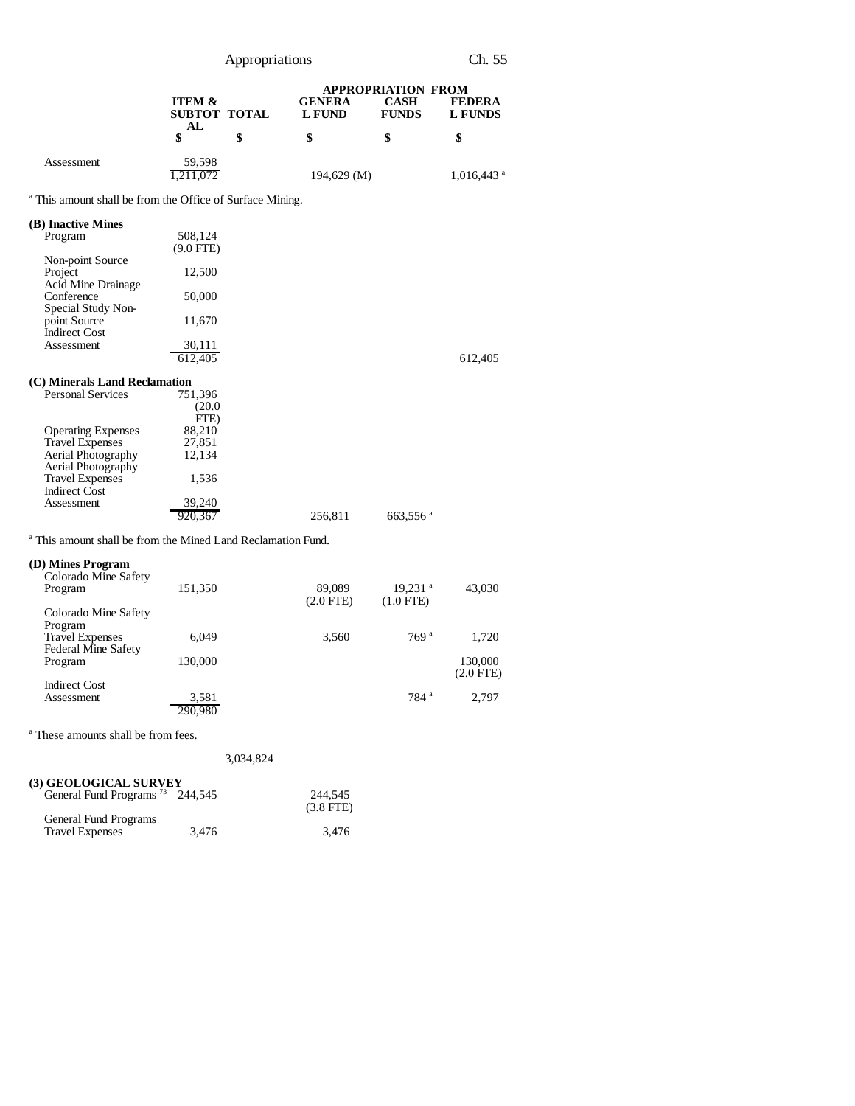| Appropriations                                                                                                                                                                                                                                                                                          |                                                                                       |    |                                | Ch. 55                                                   |                                 |
|---------------------------------------------------------------------------------------------------------------------------------------------------------------------------------------------------------------------------------------------------------------------------------------------------------|---------------------------------------------------------------------------------------|----|--------------------------------|----------------------------------------------------------|---------------------------------|
|                                                                                                                                                                                                                                                                                                         | <b>ITEM &amp;</b><br>SUBTOT TOTAL<br>AL                                               |    | <b>GENERA</b><br><b>L FUND</b> | <b>APPROPRIATION FROM</b><br><b>CASH</b><br><b>FUNDS</b> | <b>FEDERA</b><br><b>L FUNDS</b> |
|                                                                                                                                                                                                                                                                                                         | \$                                                                                    | \$ | \$                             | \$                                                       | \$                              |
| Assessment                                                                                                                                                                                                                                                                                              | 59,598<br>1,211,072                                                                   |    | 194,629 (M)                    |                                                          | $1,016,443$ <sup>a</sup>        |
| <sup>a</sup> This amount shall be from the Office of Surface Mining.                                                                                                                                                                                                                                    |                                                                                       |    |                                |                                                          |                                 |
| (B) Inactive Mines<br>Program<br>Non-point Source<br>Project<br>Acid Mine Drainage<br>Conference<br>Special Study Non-<br>point Source<br><b>Indirect Cost</b><br>Assessment                                                                                                                            | 508,124<br>$(9.0$ FTE)<br>12,500<br>50,000<br>11,670<br>30,111<br>612.405             |    |                                |                                                          | 612,405                         |
| (C) Minerals Land Reclamation<br><b>Personal Services</b><br><b>Operating Expenses</b><br><b>Travel Expenses</b><br>Aerial Photography<br>Aerial Photography<br><b>Travel Expenses</b><br><b>Indirect Cost</b><br>Assessment<br><sup>a</sup> This amount shall be from the Mined Land Reclamation Fund. | 751,396<br>(20.0)<br>FTE)<br>88,210<br>27,851<br>12,134<br>1,536<br>39,240<br>920.367 |    | 256,811                        | 663,556 <sup>a</sup>                                     |                                 |
| (D) Mines Program<br>Colorado Mine Safety<br>Program<br>Colorado Mine Safety<br>Program                                                                                                                                                                                                                 | 151,350                                                                               |    | 89,089<br>$(2.0$ FTE $)$       | $19,231$ <sup>a</sup><br>$(1.0$ FTE)                     | 43,030                          |
| <b>Travel Expenses</b><br>Federal Mine Safety                                                                                                                                                                                                                                                           | 6,049                                                                                 |    | 3,560                          | 769 <sup>a</sup>                                         | 1,720                           |
| Program                                                                                                                                                                                                                                                                                                 | 130,000                                                                               |    |                                |                                                          | 130,000<br>$(2.0$ FTE)          |
| <b>Indirect Cost</b><br>Assessment                                                                                                                                                                                                                                                                      | 3.581<br>290.980                                                                      |    |                                | 784 <sup>a</sup>                                         | 2,797                           |

a These amounts shall be from fees.

|                                                                             |       | 3,034,824 |                        |
|-----------------------------------------------------------------------------|-------|-----------|------------------------|
| <b>(3) GEOLOGICAL SURVEY</b><br>General Fund Programs <sup>73</sup> 244,545 |       |           | 244,545<br>$(3.8$ FTE) |
| General Fund Programs<br><b>Travel Expenses</b>                             | 3.476 |           | 3.476                  |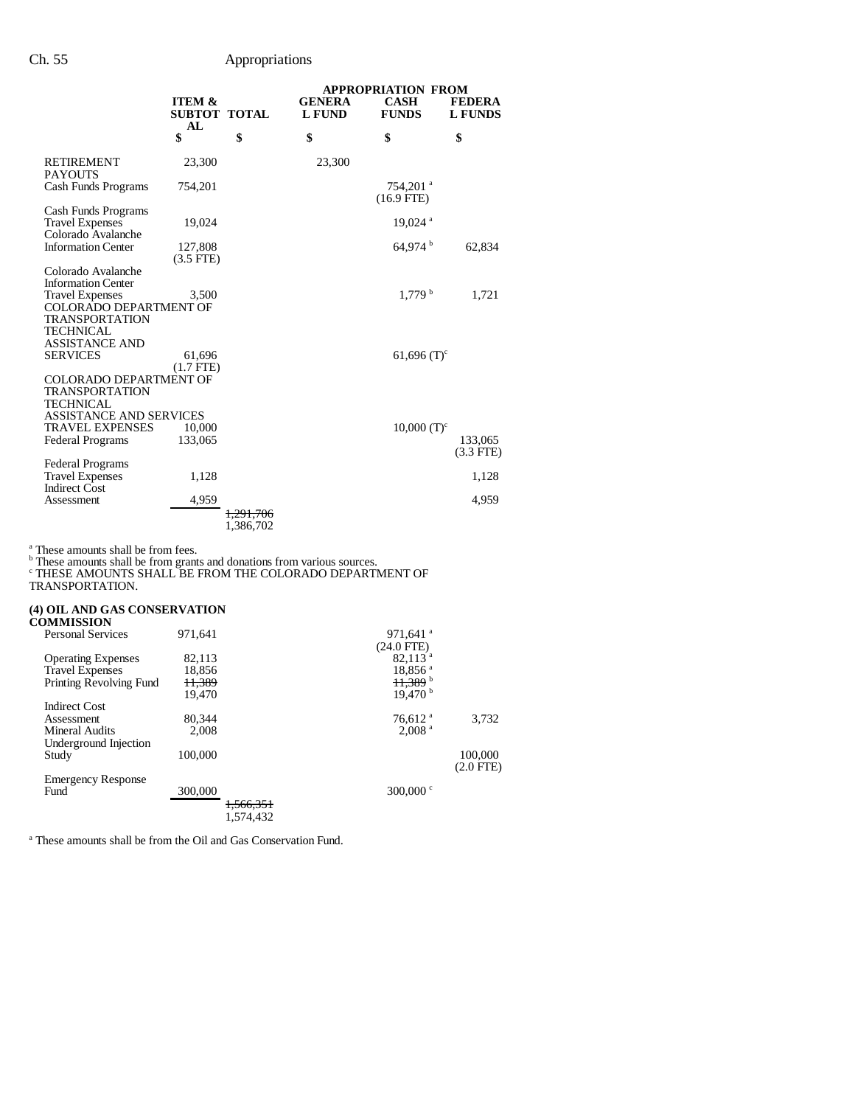|                                     |                        |                      | <b>APPROPRIATION FROM</b> |                                        |                |
|-------------------------------------|------------------------|----------------------|---------------------------|----------------------------------------|----------------|
|                                     | <b>ITEM &amp;</b>      |                      | <b>GENERA</b>             | <b>CASH</b>                            | <b>FEDERA</b>  |
|                                     | SUBTOT TOTAL           |                      | <b>L FUND</b>             | <b>FUNDS</b>                           | <b>L FUNDS</b> |
|                                     | AL<br>\$               | \$                   | \$                        | \$                                     | \$             |
|                                     |                        |                      |                           |                                        |                |
| <b>RETIREMENT</b><br><b>PAYOUTS</b> | 23,300                 |                      | 23,300                    |                                        |                |
| Cash Funds Programs                 | 754,201                |                      |                           | $754,201$ <sup>a</sup><br>$(16.9$ FTE) |                |
| Cash Funds Programs                 |                        |                      |                           |                                        |                |
| <b>Travel Expenses</b>              | 19,024                 |                      |                           | $19,024$ <sup>a</sup>                  |                |
| Colorado Avalanche                  |                        |                      |                           |                                        |                |
| <b>Information Center</b>           | 127,808<br>$(3.5$ FTE) |                      |                           | $64,974$ <sup>b</sup>                  | 62,834         |
| Colorado Avalanche                  |                        |                      |                           |                                        |                |
| <b>Information Center</b>           |                        |                      |                           |                                        |                |
| <b>Travel Expenses</b>              | 3,500                  |                      |                           | 1.779 <sup>b</sup>                     | 1,721          |
| <b>COLORADO DEPARTMENT OF</b>       |                        |                      |                           |                                        |                |
| TRANSPORTATION<br>TECHNICAL         |                        |                      |                           |                                        |                |
| <b>ASSISTANCE AND</b>               |                        |                      |                           |                                        |                |
| <b>SERVICES</b>                     | 61,696                 |                      |                           | $61,696$ (T) <sup>c</sup>              |                |
|                                     | $(1.7$ FTE)            |                      |                           |                                        |                |
| <b>COLORADO DEPARTMENT OF</b>       |                        |                      |                           |                                        |                |
| TRANSPORTATION                      |                        |                      |                           |                                        |                |
| TECHNICAL                           |                        |                      |                           |                                        |                |
| <b>ASSISTANCE AND SERVICES</b>      |                        |                      |                           |                                        |                |
| <b>TRAVEL EXPENSES</b>              | 10,000                 |                      |                           | $10,000$ (T) <sup>c</sup>              |                |
| <b>Federal Programs</b>             | 133,065                |                      |                           |                                        | 133,065        |
|                                     |                        |                      |                           |                                        | $(3.3$ FTE)    |
| <b>Federal Programs</b>             |                        |                      |                           |                                        |                |
| <b>Travel Expenses</b>              | 1,128                  |                      |                           |                                        | 1,128          |
| <b>Indirect Cost</b>                |                        |                      |                           |                                        |                |
| Assessment                          | 4,959                  |                      |                           |                                        | 4,959          |
|                                     |                        | <del>1.291.706</del> |                           |                                        |                |
|                                     |                        | 1,386,702            |                           |                                        |                |

<sup>a</sup> These amounts shall be from fees.<br><sup>b</sup> These amounts shall be from grants and donations from various sources.<br><sup>c</sup> THESE AMOUNTS SHALL BE FROM THE COLORADO DEPARTMENT OF

TRANSPORTATION.

|                   |     | (4) OIL AND GAS CONSERVATION |
|-------------------|-----|------------------------------|
| <b>COMMISSION</b> |     |                              |
|                   | - - |                              |

| <b>Personal Services</b>  | 971.641           | 971.641 $a$           |                |
|---------------------------|-------------------|-----------------------|----------------|
|                           |                   | $(24.0$ FTE)          |                |
|                           |                   |                       |                |
| <b>Operating Expenses</b> | 82,113            | $82,113$ <sup>a</sup> |                |
| <b>Travel Expenses</b>    | 18.856            | $18,856$ <sup>a</sup> |                |
| Printing Revolving Fund   | <del>11,389</del> | $11,389$ <sup>b</sup> |                |
|                           | 19.470            | 19.470 <sup>b</sup>   |                |
| Indirect Cost             |                   |                       |                |
| Assessment                | 80.344            | $76.612$ <sup>a</sup> | 3.732          |
| <b>Mineral Audits</b>     | 2.008             | 2,008 <sup>a</sup>    |                |
| Underground Injection     |                   |                       |                |
| Study                     | 100,000           |                       | 100,000        |
|                           |                   |                       | $(2.0$ FTE $)$ |
| <b>Emergency Response</b> |                   |                       |                |
| Fund                      | 300,000           | 300,000 $\degree$     |                |
|                           |                   | 1,566,351             |                |
|                           |                   |                       |                |
|                           |                   | 1.574.432             |                |

<sup>a</sup> These amounts shall be from the Oil and Gas Conservation Fund.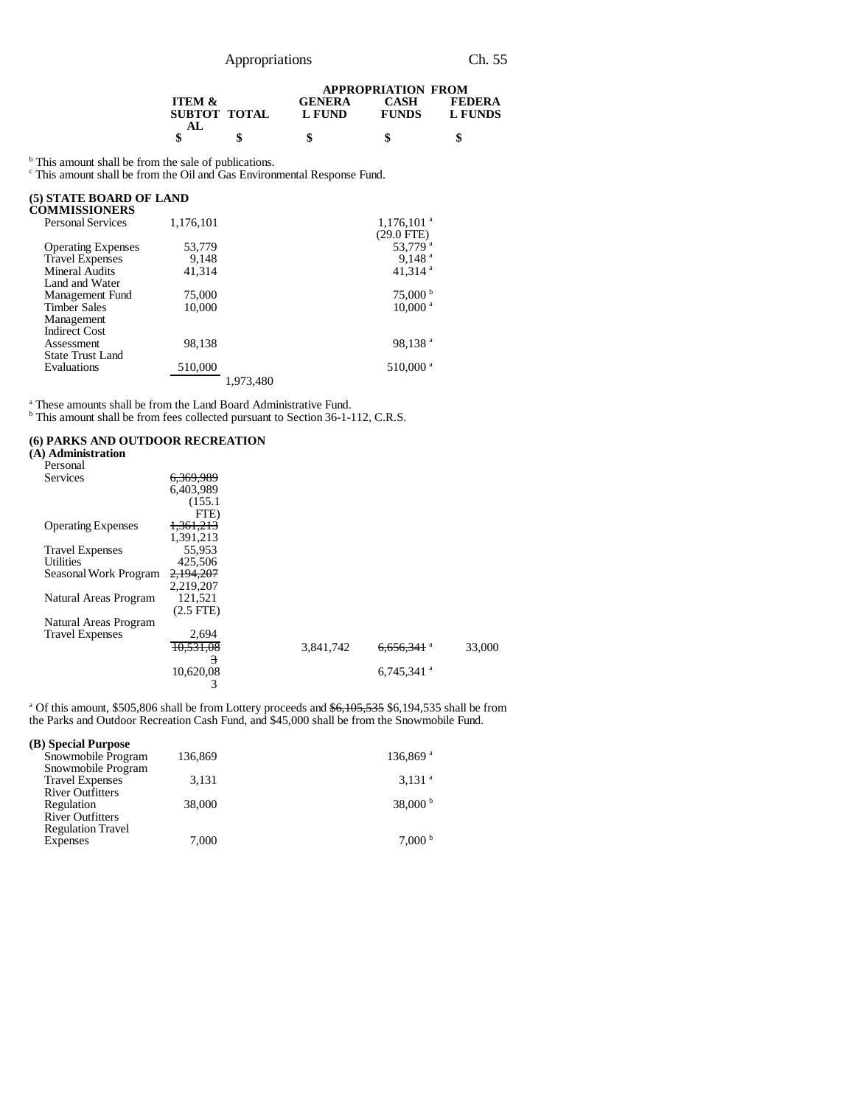|                                   |                         | <b>APPROPRIATION FROM</b>   |                          |  |  |
|-----------------------------------|-------------------------|-----------------------------|--------------------------|--|--|
| <b>ITEM &amp;</b><br>SUBTOT TOTAL | <b>GENERA</b><br>L FUND | <b>CASH</b><br><b>FUNDS</b> | <b>FEDERA</b><br>L FUNDS |  |  |
| AL.                               | \$                      |                             |                          |  |  |

<sup>b</sup> This amount shall be from the sale of publications.<br><sup>c</sup> This amount shall be from the Oil and Gas Environmental Response Fund.

## **(5) STATE BOARD OF LAND**

| (5) STATE BOARD OF LAND   |           |           |                          |
|---------------------------|-----------|-----------|--------------------------|
| <b>COMMISSIONERS</b>      |           |           |                          |
| <b>Personal Services</b>  | 1,176,101 |           | $1,176,101$ <sup>a</sup> |
|                           |           |           | $(29.0$ FTE)             |
| <b>Operating Expenses</b> | 53.779    |           | 53.779 <sup>a</sup>      |
| <b>Travel Expenses</b>    | 9.148     |           | 9.148 <sup>a</sup>       |
| Mineral Audits            | 41.314    |           | 41,314 $a$               |
| Land and Water            |           |           |                          |
| Management Fund           | 75,000    |           | 75,000 b                 |
| <b>Timber Sales</b>       | 10.000    |           | $10,000$ <sup>a</sup>    |
| Management                |           |           |                          |
| <b>Indirect Cost</b>      |           |           |                          |
| Assessment                | 98.138    |           | 98,138 <sup>a</sup>      |
| <b>State Trust Land</b>   |           |           |                          |
| Evaluations               | 510,000   |           | 510,000 <sup>a</sup>     |
|                           |           | 1.973.480 |                          |
|                           |           |           |                          |

<sup>a</sup> These amounts shall be from the Land Board Administrative Fund.<br><sup>b</sup> This amount shall be from fees collected pursuant to Section 36-1-112, C.R.S.

#### **(6) PARKS AND OUTDOOR RECREATION**

| (A) Administration        |                |           |                          |        |
|---------------------------|----------------|-----------|--------------------------|--------|
| Personal                  |                |           |                          |        |
| Services                  | 6.369.989      |           |                          |        |
|                           | 6,403,989      |           |                          |        |
|                           | (155.1)        |           |                          |        |
|                           | FTE)           |           |                          |        |
| <b>Operating Expenses</b> | 1,361,213      |           |                          |        |
|                           | 1,391,213      |           |                          |        |
| <b>Travel Expenses</b>    | 55,953         |           |                          |        |
| Utilities                 | 425,506        |           |                          |        |
| Seasonal Work Program     | 2,194,207      |           |                          |        |
|                           | 2.219.207      |           |                          |        |
| Natural Areas Program     | 121,521        |           |                          |        |
|                           | $(2.5$ FTE $)$ |           |                          |        |
| Natural Areas Program     |                |           |                          |        |
| <b>Travel Expenses</b>    | 2,694          |           |                          |        |
|                           | 10.531.08      | 3.841.742 | $6.656.341$ <sup>a</sup> | 33,000 |
|                           | 3              |           |                          |        |
|                           | 10,620,08      |           | $6,745,341$ <sup>a</sup> |        |
|                           | 3              |           |                          |        |
|                           |                |           |                          |        |

<sup>a</sup> Of this amount, \$505,806 shall be from Lottery proceeds and \$6,105,535 \$6,194,535 shall be from the Parks and Outdoor Recreation Cash Fund, and \$45,000 shall be from the Snowmobile Fund.

| (B) Special Purpose      |         |                        |
|--------------------------|---------|------------------------|
| Snowmobile Program       | 136,869 | $136,869$ <sup>a</sup> |
| Snowmobile Program       |         |                        |
| <b>Travel Expenses</b>   | 3,131   | $3,131$ <sup>a</sup>   |
| <b>River Outfitters</b>  |         |                        |
| Regulation               | 38,000  | 38,000 $^{\rm b}$      |
| <b>River Outfitters</b>  |         |                        |
| <b>Regulation Travel</b> |         |                        |
| <b>Expenses</b>          | 7.000   | 7.000 <sup>b</sup>     |
|                          |         |                        |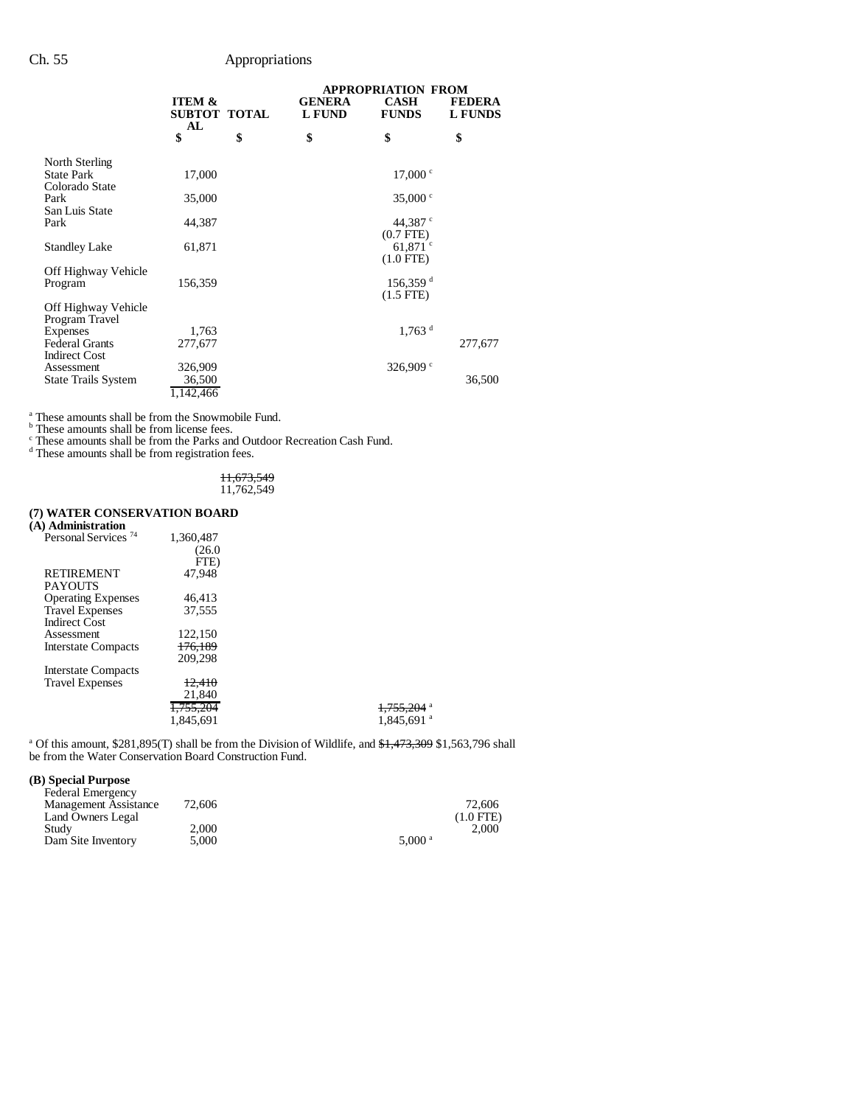|                                                                  |                                         |                                | <b>APPROPRIATION FROM</b>                |                                 |
|------------------------------------------------------------------|-----------------------------------------|--------------------------------|------------------------------------------|---------------------------------|
|                                                                  | <b>ITEM &amp;</b><br>SUBTOT TOTAL<br>AL | <b>GENERA</b><br><b>L FUND</b> | <b>CASH</b><br><b>FUNDS</b>              | <b>FEDERA</b><br><b>L FUNDS</b> |
|                                                                  | \$                                      | \$<br>\$                       | \$                                       | \$                              |
| North Sterling<br><b>State Park</b><br>Colorado State            | 17,000                                  |                                | 17,000 °                                 |                                 |
| Park<br>San Luis State                                           | 35,000                                  |                                | 35,000 $\degree$                         |                                 |
| Park                                                             | 44,387                                  |                                | 44,387 °<br>$(0.7$ FTE $)$               |                                 |
| <b>Standley Lake</b>                                             | 61,871                                  |                                | 61.871 $\degree$<br>$(1.0$ FTE)          |                                 |
| Off Highway Vehicle<br>Program                                   | 156,359                                 |                                | $156,359$ <sup>d</sup><br>$(1.5$ FTE $)$ |                                 |
| Off Highway Vehicle<br>Program Travel                            |                                         |                                |                                          |                                 |
| <b>Expenses</b><br><b>Federal Grants</b>                         | 1,763<br>277,677                        |                                | $1.763$ <sup>d</sup>                     | 277,677                         |
| <b>Indirect Cost</b><br>Assessment<br><b>State Trails System</b> | 326,909<br>36,500<br>1,142,466          |                                | 326,909 $\degree$                        | 36,500                          |

<sup>a</sup> These amounts shall be from the Snowmobile Fund.<br>
<sup>b</sup> These amounts shall be from the Parks and Outdoor Recreation Cash Fund.<br>
<sup>c</sup> These amounts shall be from registration fees.

11,673,549 11,762,549

## **(7) WATER CONSERVATION BOARD**

| (A) Administration              |           |                          |
|---------------------------------|-----------|--------------------------|
| Personal Services <sup>74</sup> | 1,360,487 |                          |
|                                 | (26.0)    |                          |
|                                 | FTE)      |                          |
| <b>RETIREMENT</b>               | 47.948    |                          |
| <b>PAYOUTS</b>                  |           |                          |
| <b>Operating Expenses</b>       | 46.413    |                          |
| <b>Travel Expenses</b>          | 37.555    |                          |
| <b>Indirect Cost</b>            |           |                          |
| Assessment                      | 122,150   |                          |
| <b>Interstate Compacts</b>      | 176.189   |                          |
|                                 | 209,298   |                          |
| Interstate Compacts             |           |                          |
| <b>Travel Expenses</b>          | 12.410    |                          |
|                                 | 21,840    |                          |
|                                 | 1,755,204 | $1,755,204$ <sup>a</sup> |
|                                 | 1.845.691 | $1,845,691$ <sup>a</sup> |
|                                 |           |                          |

<sup>a</sup> Of this amount, \$281,895(T) shall be from the Division of Wildlife, and \$1,473,309 \$1,563,796 shall be from the Water Conservation Board Construction Fund.

#### **(B) Special Purpose**

| <b>Federal Emergency</b> |        |                      |             |
|--------------------------|--------|----------------------|-------------|
| Management Assistance    | 72,606 |                      | 72,606      |
| Land Owners Legal        |        |                      | $(1.0$ FTE) |
| Study                    | 2.000  |                      | 2.000       |
| Dam Site Inventory       | 5.000  | $5.000$ <sup>a</sup> |             |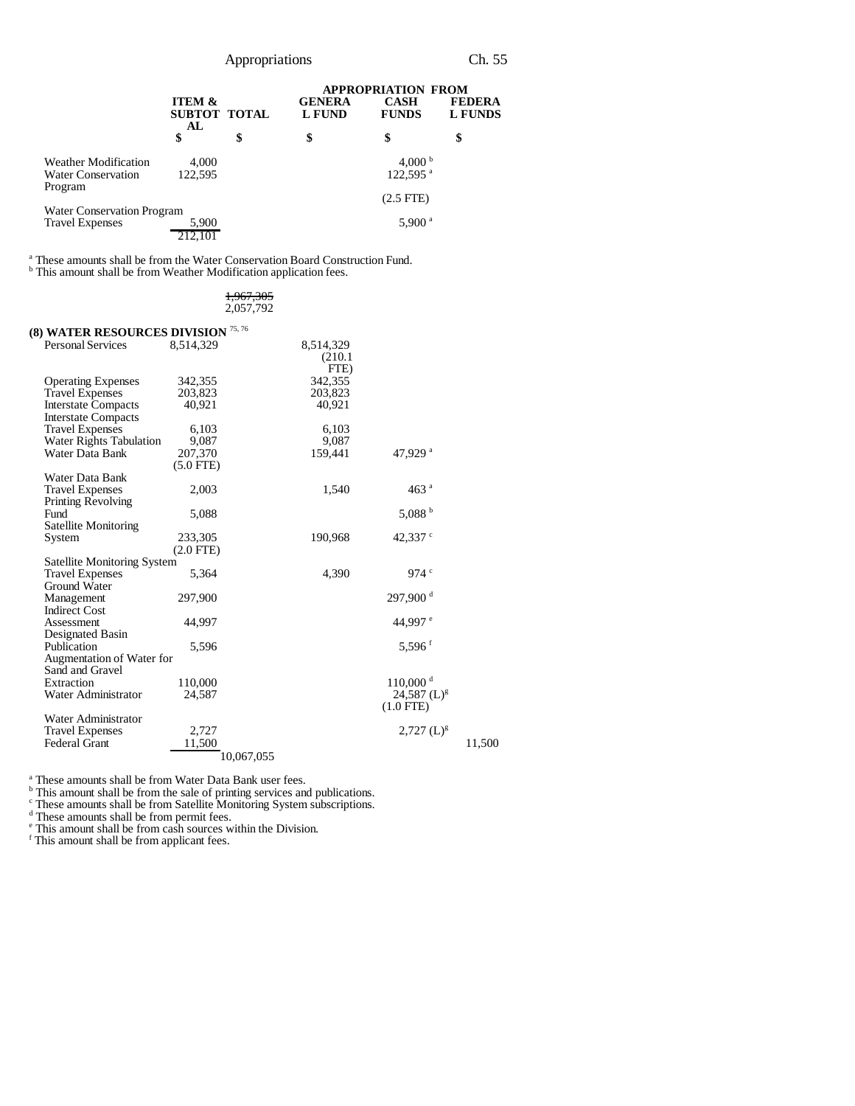|                                                                     |                                         |    |                                | <b>APPROPRIATION FROM</b>                  |                                 |
|---------------------------------------------------------------------|-----------------------------------------|----|--------------------------------|--------------------------------------------|---------------------------------|
|                                                                     | <b>ITEM &amp;</b><br>SUBTOT TOTAL<br>AL |    | <b>GENERA</b><br><b>L FUND</b> | <b>CASH</b><br><b>FUNDS</b>                | <b>FEDERA</b><br><b>L FUNDS</b> |
|                                                                     | \$                                      | \$ | \$                             | \$                                         | \$                              |
| <b>Weather Modification</b><br><b>Water Conservation</b><br>Program | 4,000<br>122,595                        |    |                                | 4,000 $^{\rm b}$<br>$122,595$ <sup>a</sup> |                                 |
| Water Conservation Program                                          |                                         |    |                                | $(2.5$ FTE $)$                             |                                 |
| <b>Travel Expenses</b>                                              | 5,900                                   |    |                                | $5,900$ <sup>a</sup>                       |                                 |

<sup>a</sup> These amounts shall be from the Water Conservation Board Construction Fund.<br><sup>b</sup> This amount shall be from Weather Modification application fees.

| 1,967,305 |
|-----------|
| 2,057,792 |

| (8) WATER RESOURCES DIVISION $^{75,76}$ |             |            |                           |        |
|-----------------------------------------|-------------|------------|---------------------------|--------|
| <b>Personal Services</b>                | 8.514.329   | 8,514,329  |                           |        |
|                                         |             | (210.1)    |                           |        |
|                                         |             | FTE)       |                           |        |
| <b>Operating Expenses</b>               | 342,355     | 342,355    |                           |        |
| <b>Travel Expenses</b>                  | 203,823     | 203,823    |                           |        |
| <b>Interstate Compacts</b>              | 40,921      | 40,921     |                           |        |
| <b>Interstate Compacts</b>              |             |            |                           |        |
| <b>Travel Expenses</b>                  | 6,103       | 6,103      |                           |        |
| <b>Water Rights Tabulation</b>          | 9,087       | 9,087      |                           |        |
| Water Data Bank                         | 207,370     | 159,441    | 47,929 <sup>a</sup>       |        |
|                                         | $(5.0$ FTE) |            |                           |        |
| Water Data Bank                         |             |            |                           |        |
| <b>Travel Expenses</b>                  | 2,003       | 1,540      | 463 <sup>a</sup>          |        |
| <b>Printing Revolving</b>               |             |            |                           |        |
| Fund                                    | 5,088       |            | 5,088 $^{\rm b}$          |        |
| <b>Satellite Monitoring</b>             |             |            |                           |        |
| System                                  | 233,305     | 190,968    | 42,337 $\degree$          |        |
|                                         | $(2.0$ FTE) |            |                           |        |
| <b>Satellite Monitoring System</b>      |             |            |                           |        |
| <b>Travel Expenses</b>                  | 5,364       | 4,390      | 974 $\degree$             |        |
| Ground Water                            |             |            |                           |        |
| Management                              | 297,900     |            | 297.900 <sup>d</sup>      |        |
| <b>Indirect Cost</b>                    |             |            |                           |        |
| Assessment                              | 44,997      |            | 44.997 °                  |        |
| Designated Basin                        |             |            |                           |        |
| Publication                             | 5,596       |            | $5,596$ <sup>f</sup>      |        |
| Augmentation of Water for               |             |            |                           |        |
| Sand and Gravel                         |             |            |                           |        |
| Extraction                              | 110,000     |            | $110,000$ <sup>d</sup>    |        |
| Water Administrator                     | 24,587      |            | $24,587$ (L) <sup>g</sup> |        |
|                                         |             |            | $(1.0$ FTE)               |        |
| Water Administrator                     |             |            |                           |        |
| <b>Travel Expenses</b>                  | 2,727       |            | $2,727~(L)^{g}$           |        |
| <b>Federal Grant</b>                    | 11,500      |            |                           | 11,500 |
|                                         |             | 10,067,055 |                           |        |

<sup>a</sup> These amounts shall be from Water Data Bank user fees.<br>
<sup>b</sup> This amount shall be from the sale of printing services and publications.<br>
<sup>c</sup> These amounts shall be from Satellite Monitoring System subscriptions.<br>
<sup>d</sup> Th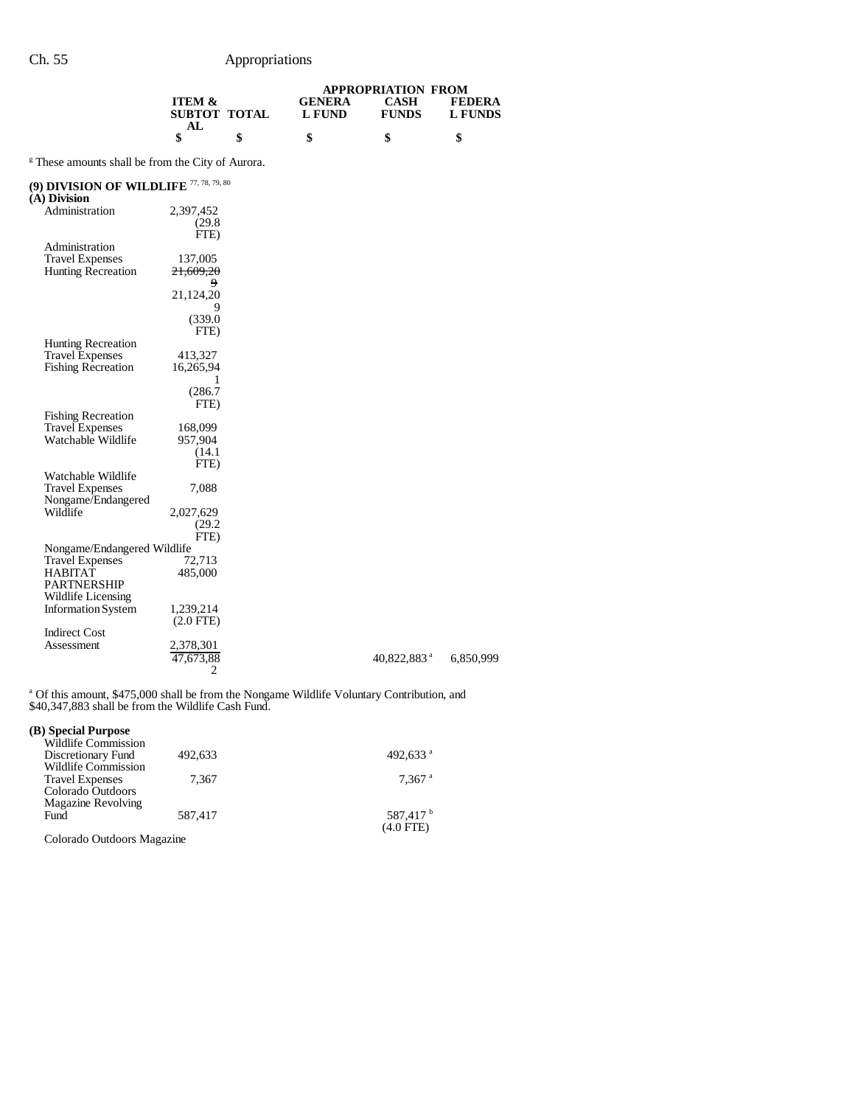|                   |              | <b>APPROPRIATION FROM</b> |              |               |  |
|-------------------|--------------|---------------------------|--------------|---------------|--|
| <b>ITEM &amp;</b> |              | <b>GENERA</b>             | CASH         | <b>FEDERA</b> |  |
|                   | SUBTOT TOTAL | L FUND                    | <b>FUNDS</b> | L FUNDS       |  |
|                   |              |                           |              |               |  |
|                   |              |                           |              |               |  |

<sup>g</sup> These amounts shall be from the City of Aurora.

## **(9) DIVISION OF WILDLIFE** 77, 78, 79, 80

| (9) DIVISION OF WILDLIFE<br>(A) Division |                      |                         |
|------------------------------------------|----------------------|-------------------------|
| Administration                           | 2,397,452            |                         |
|                                          | (29.8)               |                         |
|                                          | FTE)                 |                         |
| Administration                           |                      |                         |
| <b>Travel Expenses</b>                   | 137,005              |                         |
| <b>Hunting Recreation</b>                | <del>21,609,20</del> |                         |
|                                          | 9                    |                         |
|                                          | 21,124,20            |                         |
|                                          | 9                    |                         |
|                                          | (339.0)              |                         |
|                                          | FTE)                 |                         |
| <b>Hunting Recreation</b>                |                      |                         |
| <b>Travel Expenses</b>                   | 413,327              |                         |
| <b>Fishing Recreation</b>                | 16,265,94            |                         |
|                                          | 1                    |                         |
|                                          | (286.7)              |                         |
|                                          | FTE)                 |                         |
| <b>Fishing Recreation</b>                |                      |                         |
| <b>Travel Expenses</b>                   | 168,099              |                         |
| Watchable Wildlife                       | 957,904              |                         |
|                                          | (14.1)               |                         |
| Watchable Wildlife                       | FTE)                 |                         |
| <b>Travel Expenses</b>                   | 7,088                |                         |
| Nongame/Endangered                       |                      |                         |
| Wildlife                                 | 2,027,629            |                         |
|                                          | (29.2)               |                         |
|                                          | FTE)                 |                         |
| Nongame/Endangered Wildlife              |                      |                         |
| <b>Travel Expenses</b>                   | 72,713               |                         |
| <b>HABITAT</b>                           | 485,000              |                         |
| <b>PARTNERSHIP</b>                       |                      |                         |
| Wildlife Licensing                       |                      |                         |
| <b>Information System</b>                | 1,239,214            |                         |
|                                          | $(2.0$ FTE)          |                         |
| <b>Indirect Cost</b>                     |                      |                         |
| Assessment                               | 2,378,301            |                         |
|                                          | 47,673,88            | 40,822,883 <sup>a</sup> |
|                                          | 2                    |                         |

<sup>a</sup> Of this amount, \$475,000 shall be from the Nongame Wildlife Voluntary Contribution, and \$40,347,883 shall be from the Wildlife Cash Fund.

6,850,999

## **(B) Special Purpose**

| <b>Wildlife Commission</b> |         |                      |
|----------------------------|---------|----------------------|
| Discretionary Fund         | 492,633 | 492,633 $a$          |
| Wildlife Commission        |         |                      |
| <b>Travel Expenses</b>     | 7.367   | $7.367$ <sup>a</sup> |
| Colorado Outdoors          |         |                      |
| Magazine Revolving         |         |                      |
| Fund                       | 587.417 | 587,417 <sup>b</sup> |
|                            |         | $(4.0$ FTE)          |

Colorado Outdoors Magazine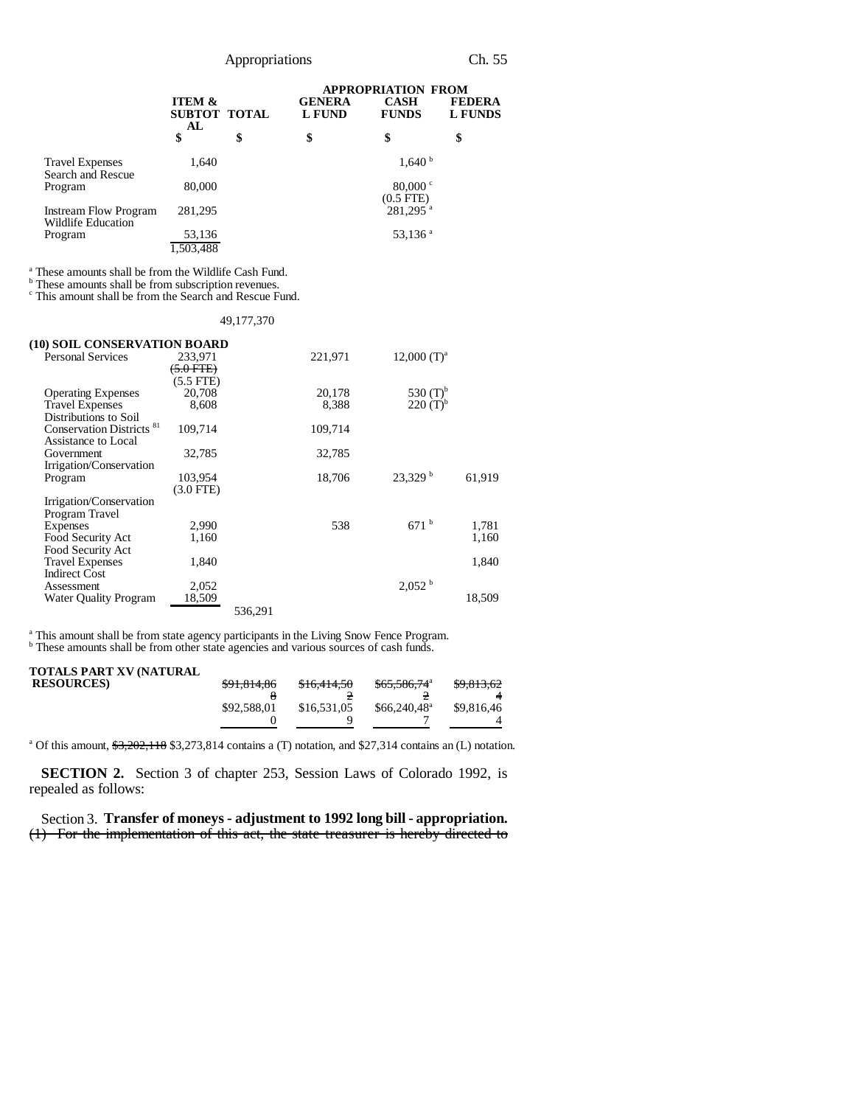|                                             |                                         | <b>APPROPRIATION FROM</b>      |                                    |                                 |  |
|---------------------------------------------|-----------------------------------------|--------------------------------|------------------------------------|---------------------------------|--|
|                                             | <b>ITEM &amp;</b><br>SUBTOT TOTAL<br>AL | <b>GENERA</b><br><b>L FUND</b> | <b>CASH</b><br><b>FUNDS</b>        | <b>FEDERA</b><br><b>L FUNDS</b> |  |
|                                             | \$                                      | \$<br>\$                       | \$                                 | \$                              |  |
| <b>Travel Expenses</b><br>Search and Rescue | 1,640                                   |                                | $1,640^{\mathrm{b}}$               |                                 |  |
| Program                                     | 80,000                                  |                                | 80,000 $\degree$<br>$(0.5$ FTE $)$ |                                 |  |
| Instream Flow Program<br>Wildlife Education | 281,295                                 |                                | $281,295$ <sup>a</sup>             |                                 |  |
| Program                                     | 53,136                                  |                                | 53,136 $a$                         |                                 |  |
|                                             | 1,503,488                               |                                |                                    |                                 |  |

<sup>a</sup> These amounts shall be from the Wildlife Cash Fund.<br><sup>b</sup> These amounts shall be from subscription revenues.

c This amount shall be from the Search and Rescue Fund.

| 49, 177, 370 |  |  |  |
|--------------|--|--|--|
|              |  |  |  |

| (10) SOIL CONSERVATION BOARD         |             |         |         |                      |        |
|--------------------------------------|-------------|---------|---------|----------------------|--------|
| <b>Personal Services</b>             | 233,971     |         | 221,971 | $12,000$ $(T)^a$     |        |
|                                      | $6.0$ FTE)  |         |         |                      |        |
|                                      | $(5.5$ FTE) |         |         |                      |        |
| <b>Operating Expenses</b>            | 20,708      |         | 20,178  | 530 $(T)^{b}$        |        |
| <b>Travel Expenses</b>               | 8,608       |         | 8,388   | $220(T)^{b}$         |        |
| Distributions to Soil                |             |         |         |                      |        |
| Conservation Districts <sup>81</sup> | 109,714     |         | 109,714 |                      |        |
| Assistance to Local                  |             |         |         |                      |        |
| Government                           | 32,785      |         | 32,785  |                      |        |
| Irrigation/Conservation              |             |         |         |                      |        |
| Program                              | 103,954     |         | 18,706  | 23.329 <sup>b</sup>  | 61,919 |
|                                      | $(3.0$ FTE) |         |         |                      |        |
| Irrigation/Conservation              |             |         |         |                      |        |
| Program Travel                       |             |         |         |                      |        |
| Expenses                             | 2,990       |         | 538     | $671^{b}$            | 1,781  |
| Food Security Act                    | 1,160       |         |         |                      | 1,160  |
| Food Security Act                    |             |         |         |                      |        |
| <b>Travel Expenses</b>               | 1,840       |         |         |                      | 1,840  |
| <b>Indirect Cost</b>                 |             |         |         |                      |        |
| Assessment                           | 2,052       |         |         | $2,052^{\mathrm{b}}$ |        |
| <b>Water Quality Program</b>         | 18,509      |         |         |                      | 18,509 |
|                                      |             | 536,291 |         |                      |        |
|                                      |             |         |         |                      |        |

<sup>a</sup> This amount shall be from state agency participants in the Living Snow Fence Program.<br><sup>b</sup> These amounts shall be from other state agencies and various sources of cash funds.

| TOTALS PART XV (NATURAL |                        |             |                       |            |
|-------------------------|------------------------|-------------|-----------------------|------------|
| <b>RESOURCES</b>        | <del>\$91,814,86</del> | \$16,414,50 | $$65,586,74^{\circ}$  | \$9,813,62 |
|                         |                        |             |                       |            |
|                         | \$92,588,01            | \$16,531,05 | $$66.240.48^{\circ}$$ | \$9,816,46 |
|                         |                        |             |                       |            |
|                         |                        |             |                       |            |

<sup>a</sup> Of this amount,  $\frac{63,202,118}{6}$  \$3,273,814 contains a (T) notation, and \$27,314 contains an (L) notation.

**SECTION 2.** Section 3 of chapter 253, Session Laws of Colorado 1992, is repealed as follows:

Section 3. **Transfer of moneys - adjustment to 1992 long bill - appropriation.** (1) For the implementation of this act, the state treasurer is hereby directed to